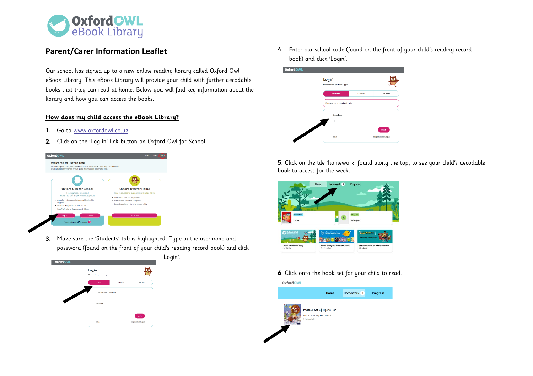

## **Parent/Carer Information Leaflet**

Our school has signed up to a new online reading library called Oxford Owl eBook Library. This eBook Library will provide your child with further decodable books that they can read at home. Below you will find key information about the library and how you can access the books.

## **How does my child access the eBook Library?**

- 1. Go to www.oxfordowl.co.uk
- **2.** Click on the 'Log in' link button on Oxford Owl for School.



**3.** Make sure the 'Students' tab is highlighted. Type in the username and password (found on the front of your child's reading record book) and click



**4.** Enter our school code (found on the front of your child's reading record book) and click 'Login'.



**5**. Click on the tile 'homework' found along the top, to see your child's decodable book to access for the week.



**6**. Click onto the book set for your child to read.